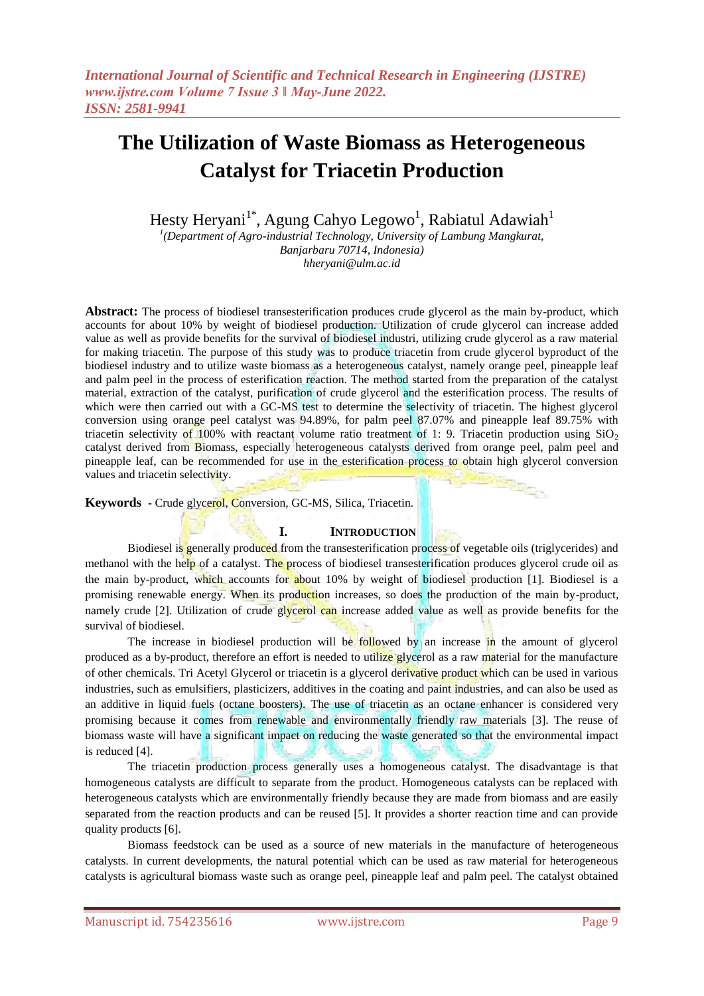Hesty Heryani<sup>1\*</sup>, Agung Cahyo Legowo<sup>1</sup>, Rabiatul Adawiah<sup>1</sup>

<sup>1</sup>(Department of Agro-industrial Technology, University of Lambung Mangkurat, *Banjarbaru 70714, Indonesia) hheryani@ulm.ac.id*

**Abstract:** The process of biodiesel transesterification produces crude glycerol as the main by-product, which accounts for about 10% by weight of biodiesel production. Utilization of crude glycerol can increase added value as well as provide benefits for the survival of biodiesel industri, utilizing crude glycerol as a raw material for making triacetin. The purpose of this study was to produce triacetin from crude glycerol byproduct of the biodiesel industry and to utilize waste biomass as a heterogeneous catalyst, namely orange peel, pineapple leaf and palm peel in the process of esterification reaction. The method started from the preparation of the catalyst material, extraction of the catalyst, purification of crude glycerol and the esterification process. The results of which were then carried out with a GC-MS test to determine the selectivity of triacetin. The highest glycerol conversion using orange peel catalyst was 94.89%, for palm peel 87.07% and pineapple leaf 89.75% with triacetin selectivity of 100% with reactant volume ratio treatment of 1: 9. Triacetin production using  $SiO<sub>2</sub>$ catalyst derived from Biomass, especially heterogeneous catalysts derived from orange peel, palm peel and pineapple leaf, can be recommended for use in the esterification process to obtain high glycerol conversion values and triacetin selectivity. **Service** 

**Keywords -** Crude glycerol, Conversion, GC-MS, Silica, Triacetin.

## **I. INTRODUCTION**

Biodiesel is generally produced from the transesterification process of vegetable oils (triglycerides) and methanol with the help of a catalyst. The process of biodiesel transesterification produces glycerol crude oil as the main by-product, which accounts for about 10% by weight of biodiesel production [1]. Biodiesel is a promising renewable energy. When its production increases, so does the production of the main by-product, namely crude [2]. Utilization of crude glycerol can increase added value as well as provide benefits for the survival of biodiesel.

The increase in biodiesel production will be followed by an increase in the amount of glycerol produced as a by-product, therefore an effort is needed to utilize glycerol as a raw material for the manufacture of other chemicals. Tri Acetyl Glycerol or triacetin is a glycerol derivative product which can be used in various industries, such as emulsifiers, plasticizers, additives in the coating and paint industries, and can also be used as an additive in liquid fuels (octane boosters). The use of triacetin as an octane enhancer is considered very promising because it comes from renewable and environmentally friendly raw materials [3]. The reuse of biomass waste will have a significant impact on reducing the waste generated so that the environmental impact is reduced [4].

The triacetin production process generally uses a homogeneous catalyst. The disadvantage is that homogeneous catalysts are difficult to separate from the product. Homogeneous catalysts can be replaced with heterogeneous catalysts which are environmentally friendly because they are made from biomass and are easily separated from the reaction products and can be reused [5]. It provides a shorter reaction time and can provide quality products [6].

Biomass feedstock can be used as a source of new materials in the manufacture of heterogeneous catalysts. In current developments, the natural potential which can be used as raw material for heterogeneous catalysts is agricultural biomass waste such as orange peel, pineapple leaf and palm peel. The catalyst obtained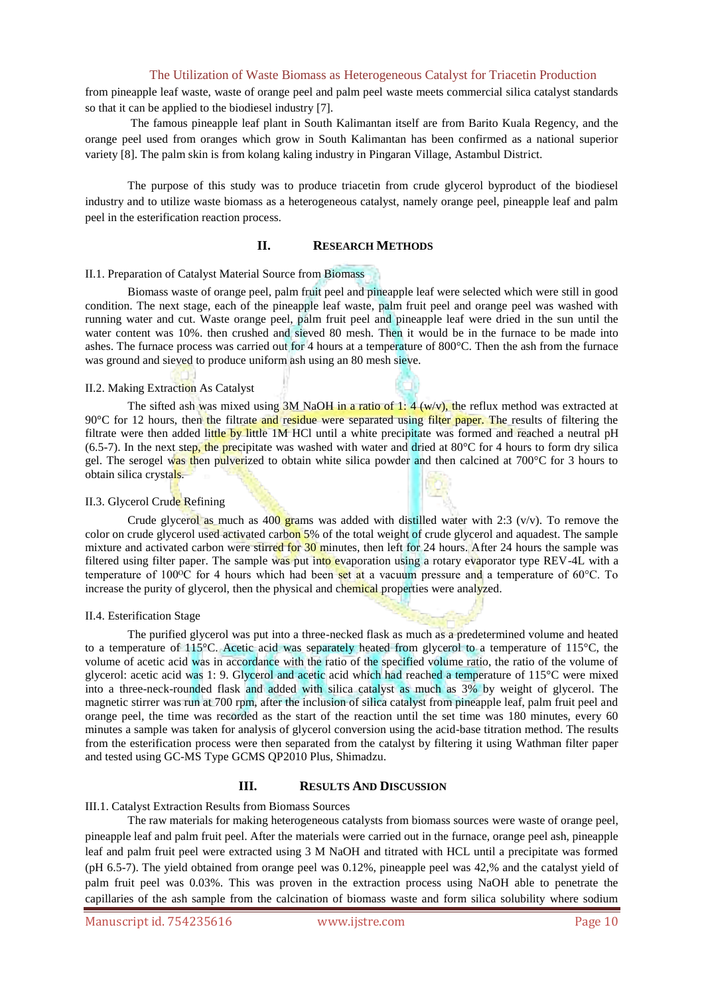from pineapple leaf waste, waste of orange peel and palm peel waste meets commercial silica catalyst standards so that it can be applied to the biodiesel industry [7].

The famous pineapple leaf plant in South Kalimantan itself are from Barito Kuala Regency, and the orange peel used from oranges which grow in South Kalimantan has been confirmed as a national superior variety [8]. The palm skin is from kolang kaling industry in Pingaran Village, Astambul District.

The purpose of this study was to produce triacetin from crude glycerol byproduct of the biodiesel industry and to utilize waste biomass as a heterogeneous catalyst, namely orange peel, pineapple leaf and palm peel in the esterification reaction process.

### **II. RESEARCH METHODS**

#### II.1. Preparation of Catalyst Material Source from Biomass

Biomass waste of orange peel, palm fruit peel and pineapple leaf were selected which were still in good condition. The next stage, each of the pineapple leaf waste, palm fruit peel and orange peel was washed with running water and cut. Waste orange peel, palm fruit peel and pineapple leaf were dried in the sun until the water content was 10%. then crushed and sieved 80 mesh. Then it would be in the furnace to be made into ashes. The furnace process was carried out for 4 hours at a temperature of 800°C. Then the ash from the furnace was ground and sieved to produce uniform ash using an 80 mesh sieve.

#### II.2. Making Extraction As Catalyst

The sifted ash was mixed using 3M NaOH in a ratio of 1:  $4 (w/v)$ , the reflux method was extracted at 90°C for 12 hours, then the filtrate and residue were separated using filter paper. The results of filtering the filtrate were then added little by little 1M HCl until a white precipitate was formed and reached a neutral pH  $(6.5-7)$ . In the next step, the precipitate was washed with water and dried at 80 $^{\circ}$ C for 4 hours to form dry silica gel. The serogel was then pulverized to obtain white silica powder and then calcined at 700°C for 3 hours to obtain silica crystals.

### II.3. Glycerol Crude Refining

Crude glycerol as much as 400 grams was added with distilled water with 2:3 ( $v/v$ ). To remove the color on crude glycerol used activated carbon 5% of the total weight of crude glycerol and aquadest. The sample mixture and activated carbon were stirred for 30 minutes, then left for 24 hours. After 24 hours the sample was filtered using filter paper. The sample was put into evaporation using a rotary evaporator type REV-4L with a temperature of 100<sup>o</sup>C for 4 hours which had been set at a vacuum pressure and a temperature of 60<sup>o</sup>C. To increase the purity of glycerol, then the physical and chemical properties were analyzed.

#### II.4. Esterification Stage

The purified glycerol was put into a three-necked flask as much as a predetermined volume and heated to a temperature of 115°C. Acetic acid was separately heated from glycerol to a temperature of 115°C, the volume of acetic acid was in accordance with the ratio of the specified volume ratio, the ratio of the volume of glycerol: acetic acid was 1: 9. Glycerol and acetic acid which had reached a temperature of 115°C were mixed into a three-neck-rounded flask and added with silica catalyst as much as 3% by weight of glycerol. The magnetic stirrer was run at 700 rpm, after the inclusion of silica catalyst from pineapple leaf, palm fruit peel and orange peel, the time was recorded as the start of the reaction until the set time was 180 minutes, every 60 minutes a sample was taken for analysis of glycerol conversion using the acid-base titration method. The results from the esterification process were then separated from the catalyst by filtering it using Wathman filter paper and tested using GC-MS Type GCMS QP2010 Plus, Shimadzu.

#### **III. RESULTS AND DISCUSSION**

#### III.1. Catalyst Extraction Results from Biomass Sources

The raw materials for making heterogeneous catalysts from biomass sources were waste of orange peel, pineapple leaf and palm fruit peel. After the materials were carried out in the furnace, orange peel ash, pineapple leaf and palm fruit peel were extracted using 3 M NaOH and titrated with HCL until a precipitate was formed (pH 6.5-7). The yield obtained from orange peel was 0.12%, pineapple peel was 42,% and the catalyst yield of palm fruit peel was 0.03%. This was proven in the extraction process using NaOH able to penetrate the capillaries of the ash sample from the calcination of biomass waste and form silica solubility where sodium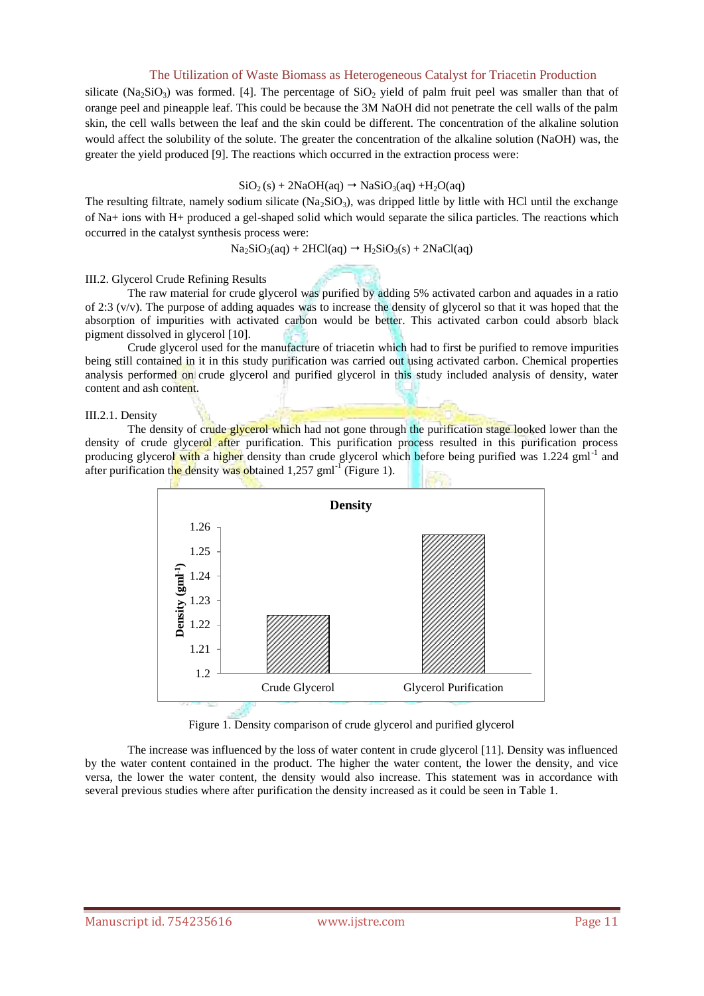silicate (Na<sub>2</sub>SiO<sub>3</sub>) was formed. [4]. The percentage of  $SiO<sub>2</sub>$  yield of palm fruit peel was smaller than that of orange peel and pineapple leaf. This could be because the 3M NaOH did not penetrate the cell walls of the palm skin, the cell walls between the leaf and the skin could be different. The concentration of the alkaline solution would affect the solubility of the solute. The greater the concentration of the alkaline solution (NaOH) was, the greater the yield produced [9]. The reactions which occurred in the extraction process were:

#### $SiO<sub>2</sub>(s) + 2NaOH(aq) \rightarrow NaSiO<sub>3</sub>(aq) +H<sub>2</sub>O(aq)$

The resulting filtrate, namely sodium silicate  $(Na_2SiO_3)$ , was dripped little by little with HCl until the exchange of Na+ ions with H+ produced a gel-shaped solid which would separate the silica particles. The reactions which occurred in the catalyst synthesis process were:

$$
Na_2SiO_3(aq) + 2HCl(aq) \rightarrow H_2SiO_3(s) + 2NaCl(aq)
$$

#### III.2. Glycerol Crude Refining Results

The raw material for crude glycerol was purified by adding 5% activated carbon and aquades in a ratio of 2:3 (v/v). The purpose of adding aquades was to increase the density of glycerol so that it was hoped that the absorption of impurities with activated carbon would be better. This activated carbon could absorb black pigment dissolved in glycerol [10].

Crude glycerol used for the manufacture of triacetin which had to first be purified to remove impurities being still contained in it in this study purification was carried out using activated carbon. Chemical properties analysis performed on crude glycerol and purified glycerol in this study included analysis of density, water content and ash content.

#### III.2.1. Density

The density of crude glycerol which had not gone through the purification stage looked lower than the density of crude glycerol after purification. This purification process resulted in this purification process producing glycerol with a higher density than crude glycerol which before being purified was 1.224 gml<sup>-1</sup> and after purification the density was obtained 1,257 gml<sup>-1</sup> (Figure 1).



Figure 1. Density comparison of crude glycerol and purified glycerol

The increase was influenced by the loss of water content in crude glycerol [11]. Density was influenced by the water content contained in the product. The higher the water content, the lower the density, and vice versa, the lower the water content, the density would also increase. This statement was in accordance with several previous studies where after purification the density increased as it could be seen in Table 1.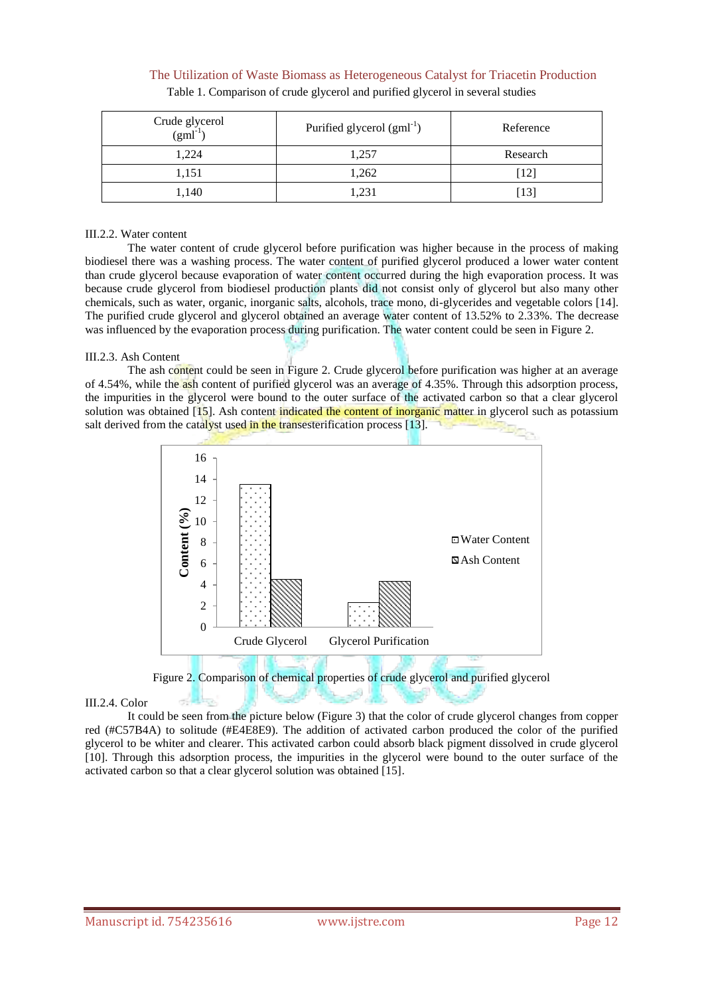| Crude glycerol<br>$(gml^{-1})$ | Purified glycerol $(gml^{-1})$ | Reference |
|--------------------------------|--------------------------------|-----------|
| 1,224                          | .,257                          | Research  |
| 1,151                          | 1,262                          |           |
| 1,140                          | .23 <sup>2</sup>               |           |

## The Utilization of Waste Biomass as Heterogeneous Catalyst for Triacetin Production Table 1. Comparison of crude glycerol and purified glycerol in several studies

#### III.2.2. Water content

The water content of crude glycerol before purification was higher because in the process of making biodiesel there was a washing process. The water content of purified glycerol produced a lower water content than crude glycerol because evaporation of water content occurred during the high evaporation process. It was because crude glycerol from biodiesel production plants did not consist only of glycerol but also many other chemicals, such as water, organic, inorganic salts, alcohols, trace mono, di-glycerides and vegetable colors [14]. The purified crude glycerol and glycerol obtained an average water content of 13.52% to 2.33%. The decrease was influenced by the evaporation process during purification. The water content could be seen in Figure 2.

## III.2.3. Ash Content

The ash content could be seen in Figure 2. Crude glycerol before purification was higher at an average of 4.54%, while the ash content of purified glycerol was an average of 4.35%. Through this adsorption process, the impurities in the glycerol were bound to the outer surface of the activated carbon so that a clear glycerol solution was obtained  $[15]$ . Ash content indicated the content of inorganic matter in glycerol such as potassium salt derived from the catalyst used in the transesterification process [13].



Figure 2. Comparison of chemical properties of crude glycerol and purified glycerol

#### III.2.4. Color

It could be seen from the picture below (Figure 3) that the color of crude glycerol changes from copper red (#C57B4A) to solitude (#E4E8E9). The addition of activated carbon produced the color of the purified glycerol to be whiter and clearer. This activated carbon could absorb black pigment dissolved in crude glycerol [10]. Through this adsorption process, the impurities in the glycerol were bound to the outer surface of the activated carbon so that a clear glycerol solution was obtained [15].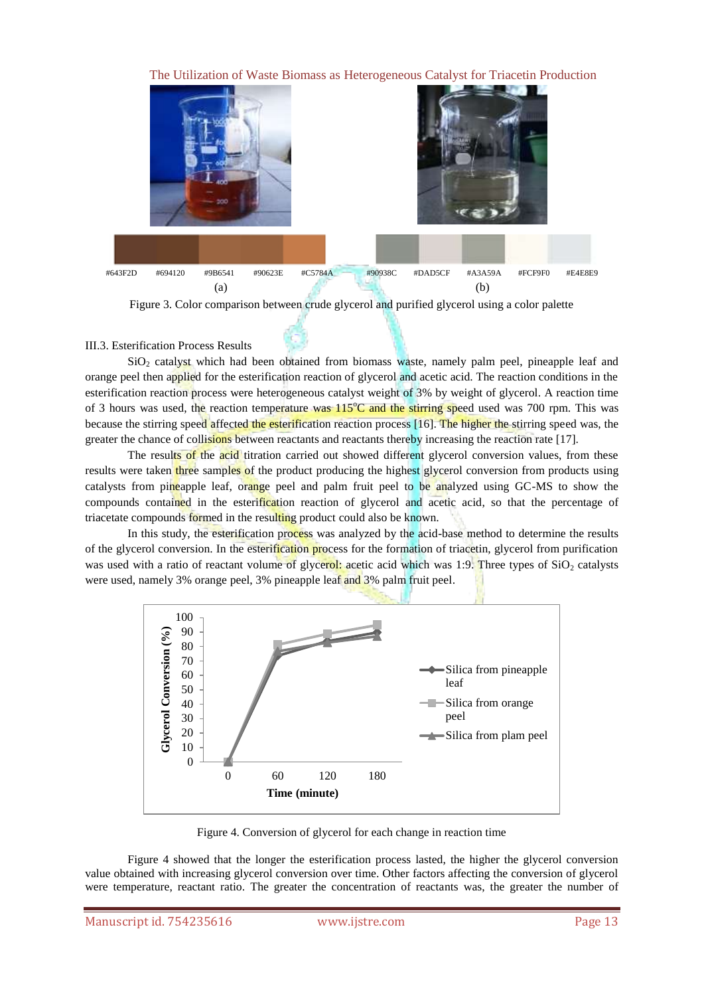

Figure 3. Color comparison between crude glycerol and purified glycerol using a color palette

# III.3. Esterification Process Results

SiO<sub>2</sub> catalyst which had been obtained from biomass waste, namely palm peel, pineapple leaf and orange peel then applied for the esterification reaction of glycerol and acetic acid. The reaction conditions in the esterification reaction process were heterogeneous catalyst weight of 3% by weight of glycerol. A reaction time of 3 hours was used, the reaction temperature was 115°C and the stirring speed used was 700 rpm. This was because the stirring speed affected the esterification reaction process [16]. The higher the stirring speed was, the greater the chance of collisions between reactants and reactants thereby increasing the reaction rate [17].

The results of the acid titration carried out showed different glycerol conversion values, from these results were taken three samples of the product producing the highest glycerol conversion from products using catalysts from pineapple leaf, orange peel and palm fruit peel to be analyzed using GC-MS to show the compounds contained in the esterification reaction of glycerol and acetic acid, so that the percentage of triacetate compounds formed in the resulting product could also be known.

In this study, the esterification process was analyzed by the acid-base method to determine the results of the glycerol conversion. In the esterification process for the formation of triacetin, glycerol from purification was used with a ratio of reactant volume of glycerol: acetic acid which was 1:9. Three types of  $SiO<sub>2</sub>$  catalysts were used, namely 3% orange peel, 3% pineapple leaf and 3% palm fruit peel.



Figure 4. Conversion of glycerol for each change in reaction time

Figure 4 showed that the longer the esterification process lasted, the higher the glycerol conversion value obtained with increasing glycerol conversion over time. Other factors affecting the conversion of glycerol were temperature, reactant ratio. The greater the concentration of reactants was, the greater the number of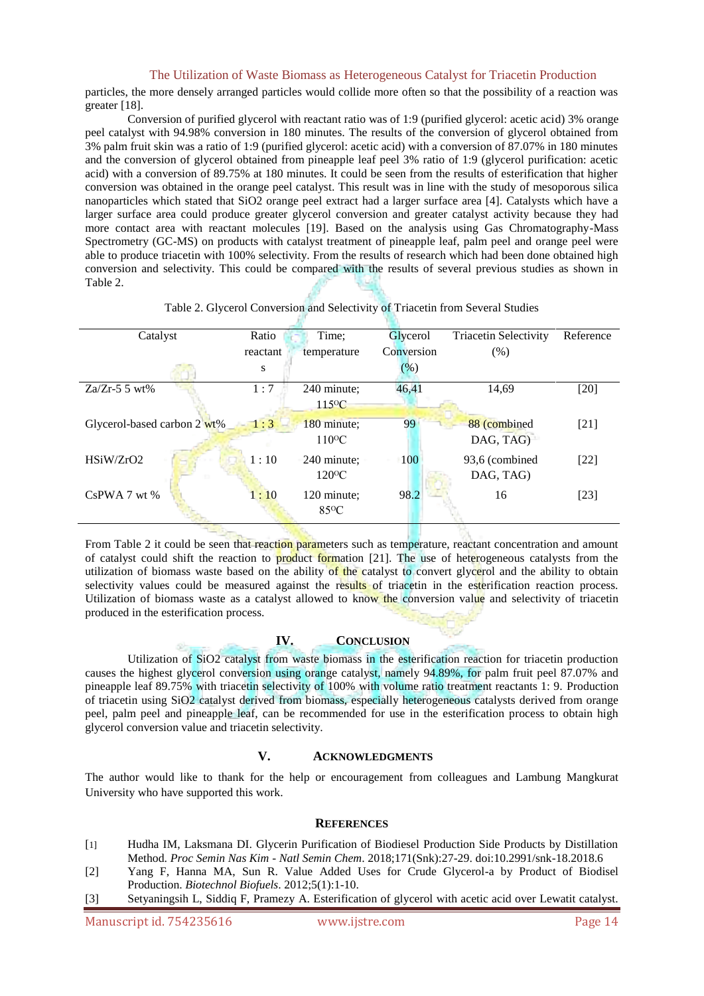particles, the more densely arranged particles would collide more often so that the possibility of a reaction was greater [18].

Conversion of purified glycerol with reactant ratio was of 1:9 (purified glycerol: acetic acid) 3% orange peel catalyst with 94.98% conversion in 180 minutes. The results of the conversion of glycerol obtained from 3% palm fruit skin was a ratio of 1:9 (purified glycerol: acetic acid) with a conversion of 87.07% in 180 minutes and the conversion of glycerol obtained from pineapple leaf peel 3% ratio of 1:9 (glycerol purification: acetic acid) with a conversion of 89.75% at 180 minutes. It could be seen from the results of esterification that higher conversion was obtained in the orange peel catalyst. This result was in line with the study of mesoporous silica nanoparticles which stated that SiO2 orange peel extract had a larger surface area [4]. Catalysts which have a larger surface area could produce greater glycerol conversion and greater catalyst activity because they had more contact area with reactant molecules [19]. Based on the analysis using Gas Chromatography-Mass Spectrometry (GC-MS) on products with catalyst treatment of pineapple leaf, palm peel and orange peel were able to produce triacetin with 100% selectivity. From the results of research which had been done obtained high conversion and selectivity. This could be compared with the results of several previous studies as shown in Table 2.

| Catalyst                    | Ratio    | Time;             | Glycerol   | <b>Triacetin Selectivity</b> | Reference |
|-----------------------------|----------|-------------------|------------|------------------------------|-----------|
|                             | reactant | temperature       | Conversion | (% )                         |           |
|                             | S        |                   | $(\%)$     |                              |           |
| $Za/Zr-5$ 5 wt%             | 1:7      | 240 minute;       | 46,41      | 14,69                        | $[20]$    |
|                             |          | $115^{\circ}C$    |            |                              |           |
| Glycerol-based carbon 2 wt% | 1:3      | 180 minute;       | 99         | 88 (combined)                | $[21]$    |
|                             |          | $110^{\circ}$ C   |            | DAG, TAG)                    |           |
| HSiW/ZrO2                   | 1:10     | 240 minute;       | 100        | 93,6 (combined)              | $[22]$    |
|                             |          | $120^{\circ}$ C   |            | DAG, TAG)                    |           |
| $Cs$ PWA 7 wt %             | 1:10     | 120 minute;       | 98.2       | 16                           | $[23]$    |
|                             |          | 85 <sup>o</sup> C |            |                              |           |
|                             |          |                   |            |                              |           |

Table 2. Glycerol Conversion and Selectivity of Triacetin from Several Studies

From Table 2 it could be seen that reaction parameters such as temperature, reactant concentration and amount of catalyst could shift the reaction to product formation [21]. The use of heterogeneous catalysts from the utilization of biomass waste based on the ability of the catalyst to convert glycerol and the ability to obtain selectivity values could be measured against the results of triacetin in the esterification reaction process. Utilization of biomass waste as a catalyst allowed to know the conversion value and selectivity of triacetin produced in the esterification process.

#### **IV. CONCLUSION**

Utilization of SiO2 catalyst from waste biomass in the esterification reaction for triacetin production causes the highest glycerol conversion using orange catalyst, namely 94.89%, for palm fruit peel 87.07% and pineapple leaf 89.75% with triacetin selectivity of 100% with volume ratio treatment reactants 1: 9. Production of triacetin using SiO2 catalyst derived from biomass, especially heterogeneous catalysts derived from orange peel, palm peel and pineapple leaf, can be recommended for use in the esterification process to obtain high glycerol conversion value and triacetin selectivity.

# **V. ACKNOWLEDGMENTS**

The author would like to thank for the help or encouragement from colleagues and Lambung Mangkurat University who have supported this work.

#### **REFERENCES**

- [1] Hudha IM, Laksmana DI. Glycerin Purification of Biodiesel Production Side Products by Distillation Method. *Proc Semin Nas Kim - Natl Semin Chem*. 2018;171(Snk):27-29. doi:10.2991/snk-18.2018.6
- [2] Yang F, Hanna MA, Sun R. Value Added Uses for Crude Glycerol-a by Product of Biodisel Production. *Biotechnol Biofuels*. 2012;5(1):1-10.
- [3] Setyaningsih L, Siddiq F, Pramezy A. Esterification of glycerol with acetic acid over Lewatit catalyst.